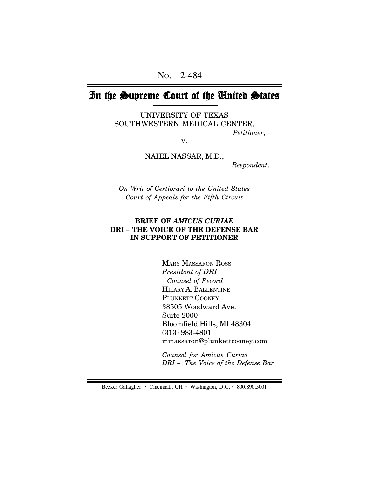# In the Supreme Court of the United States

UNIVERSITY OF TEXAS SOUTHWESTERN MEDICAL CENTER, *Petitioner*,

v.

NAIEL NASSAR, M.D.,

 *Respondent*.

*On Writ of Certiorari to the United States Court of Appeals for the Fifth Circuit*

#### **BRIEF OF** *AMICUS CURIAE* **DRI** *–* **THE VOICE OF THE DEFENSE BAR IN SUPPORT OF PETITIONER**

MARY MASSARON ROSS *President of DRI Counsel of Record* HILARY A. BALLENTINE PLUNKETT COONEY 38505 Woodward Ave. Suite 2000 Bloomfield Hills, MI 48304 (313) 983-4801 mmassaron@plunkettcooney.com

*Counsel for Amicus Curiae DRI* – *The Voice of the Defense Bar*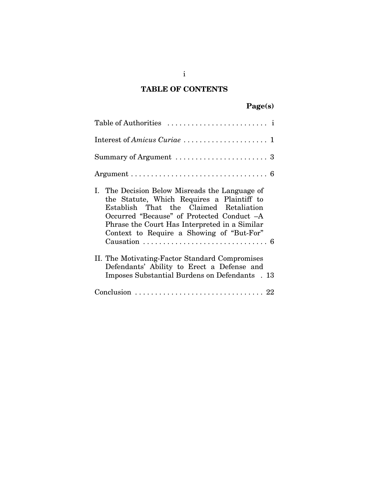## **TABLE OF CONTENTS**

# **Page(s)**

| Table of Authorities $\dots\dots\dots\dots\dots\dots\dots\dots$                                                                                                                                                                                                                    |
|------------------------------------------------------------------------------------------------------------------------------------------------------------------------------------------------------------------------------------------------------------------------------------|
|                                                                                                                                                                                                                                                                                    |
|                                                                                                                                                                                                                                                                                    |
|                                                                                                                                                                                                                                                                                    |
| I. The Decision Below Misreads the Language of<br>the Statute, Which Requires a Plaintiff to<br>Establish That the Claimed Retaliation<br>Occurred "Because" of Protected Conduct -A<br>Phrase the Court Has Interpreted in a Similar<br>Context to Require a Showing of "But-For" |
| II. The Motivating-Factor Standard Compromises<br>Defendants' Ability to Erect a Defense and<br>Imposes Substantial Burdens on Defendants . 13                                                                                                                                     |
|                                                                                                                                                                                                                                                                                    |

i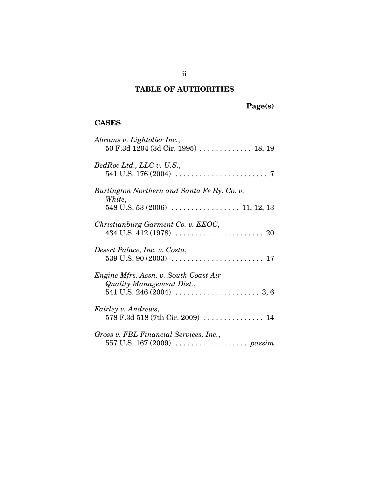## **TABLE OF AUTHORITIES**

**Page(s)**

## **CASES**

| Abrams v. Lightolier Inc.,<br>$50$ F.3d $1204$ (3d Cir. 1995)  18, 19 |
|-----------------------------------------------------------------------|
| BedRoc Ltd., LLC v. U.S.,                                             |
| Burlington Northern and Santa Fe Ry. Co. v.<br>White,                 |
| Christianburg Garment Co. v. EEOC,                                    |
| Desert Palace, Inc. v. Costa,                                         |
| Engine Mfrs. Assn. v. South Coast Air<br>Quality Management Dist.,    |
| <i>Fairley v. Andrews,</i>                                            |
| Gross v. FBL Financial Services, Inc.,                                |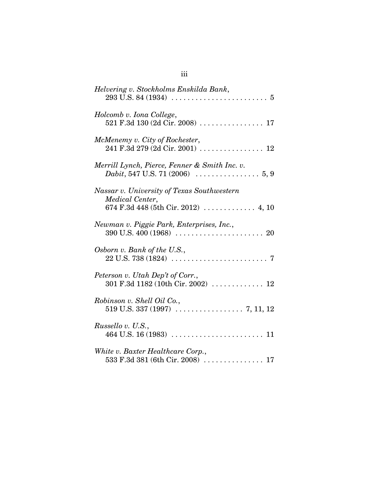| Helvering v. Stockholms Enskilda Bank,                                                                                                                    |
|-----------------------------------------------------------------------------------------------------------------------------------------------------------|
| Holcomb v. Iona College,<br>521 F.3d 130 (2d Cir. 2008)  17                                                                                               |
| McMenemy v. City of Rochester,                                                                                                                            |
| Merrill Lynch, Pierce, Fenner & Smith Inc. v.<br><i>Dabit</i> , 547 U.S. 71 (2006) $\ldots \ldots \ldots \ldots 5, 9$                                     |
| Nassar v. University of Texas Southwestern<br>Medical Center,                                                                                             |
| Newman v. Piggie Park, Enterprises, Inc.,                                                                                                                 |
| Osborn v. Bank of the U.S.,<br>$22 U.S. 738 (1824) \ldots \ldots \ldots \ldots \ldots \ldots \ldots 7$                                                    |
| Peterson v. Utah Dep't of Corr.,<br>301 F.3d 1182 (10th Cir. 2002) $\ldots \ldots \ldots \ldots 12$                                                       |
| Robinson v. Shell Oil Co.,                                                                                                                                |
| Russello v. U.S.,                                                                                                                                         |
| White v. Baxter Healthcare Corp.,<br>$533 \text{ F}.3d \text{ } 381 \text{ (6th Cir. } 2008) \text{ } \dots \dots \dots \dots \dots \dots \dots \dots 17$ |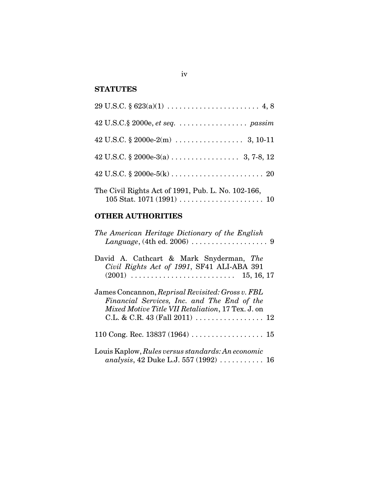## **STATUTES**

| The Civil Rights Act of 1991, Pub. L. No. 102-166, |
|----------------------------------------------------|

### **OTHER AUTHORITIES**

| The American Heritage Dictionary of the English<br>Language, $(4th$ ed. 2006) $\ldots \ldots \ldots \ldots \ldots$ 9                                                                                                               |
|------------------------------------------------------------------------------------------------------------------------------------------------------------------------------------------------------------------------------------|
| David A. Cathcart & Mark Snyderman, The<br>Civil Rights Act of 1991, SF41 ALI-ABA 391<br>15, 16, 17                                                                                                                                |
| James Concannon, Reprisal Revisited: Gross v. FBL<br>Financial Services, Inc. and The End of the<br>Mixed Motive Title VII Retaliation, 17 Tex. J. on<br>C.L. & C.R. 43 (Fall 2011) $\ldots \ldots \ldots \ldots \ldots \ldots 12$ |
|                                                                                                                                                                                                                                    |
| Louis Kaplow, Rules versus standards: An economic<br>analysis, 42 Duke L.J. 557 (1992)  16                                                                                                                                         |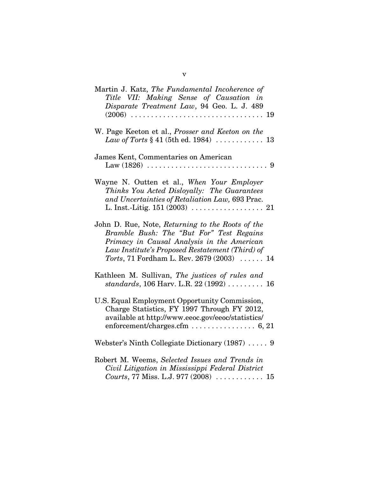| Martin J. Katz, The Fundamental Incoherence of<br>Title VII: Making Sense of Causation in<br>Disparate Treatment Law, 94 Geo. L. J. 489                                                                                                    |
|--------------------------------------------------------------------------------------------------------------------------------------------------------------------------------------------------------------------------------------------|
| W. Page Keeton et al., Prosser and Keeton on the<br>Law of Torts $§ 41 (5th ed. 1984)    13$                                                                                                                                               |
| James Kent, Commentaries on American                                                                                                                                                                                                       |
| Wayne N. Outten et al., When Your Employer<br>Thinks You Acted Disloyally: The Guarantees<br>and Uncertainties of Retaliation Law, 693 Prac.                                                                                               |
| John D. Rue, Note, Returning to the Roots of the<br>Bramble Bush: The "But For" Test Regains<br>Primacy in Causal Analysis in the American<br>Law Institute's Proposed Restatement (Third) of<br>Torts, 71 Fordham L. Rev. 2679 (2003)  14 |
| Kathleen M. Sullivan, The justices of rules and<br>standards, 106 Harv. L.R. 22 (1992)  16                                                                                                                                                 |
| U.S. Equal Employment Opportunity Commission,<br>Charge Statistics, FY 1997 Through FY 2012,<br>available at http://www.eeoc.gov/eeoc/statistics/                                                                                          |
| Webster's Ninth Collegiate Dictionary (1987)  9                                                                                                                                                                                            |
| Robert M. Weems, Selected Issues and Trends in<br>Civil Litigation in Mississippi Federal District<br>Courts, 77 Miss. L.J. 977 (2008)  15                                                                                                 |

v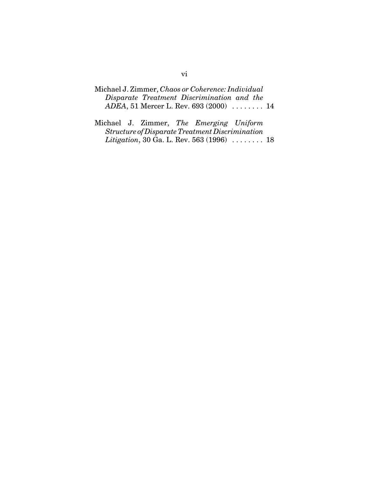- Michael J. Zimmer, *Chaos or Coherence: Individual Disparate Treatment Discrimination and the ADEA*, 51 Mercer L. Rev. 693 (2000) . . . . . . . . 14
- Michael J. Zimmer, *The Emerging Uniform Structure of Disparate Treatment Discrimination Litigation*, 30 Ga. L. Rev. 563 (1996) . . . . . . . . 18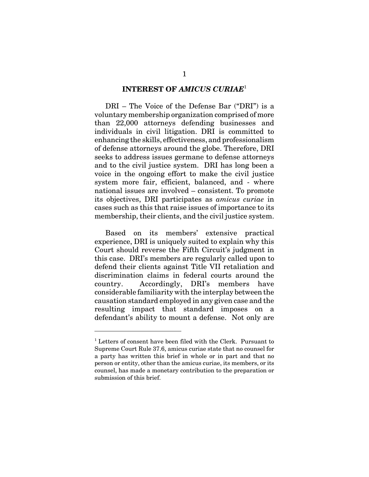#### **INTEREST OF** *AMICUS CURIAE*<sup>1</sup>

DRI – The Voice of the Defense Bar ("DRI") is a voluntary membership organization comprised of more than 22,000 attorneys defending businesses and individuals in civil litigation. DRI is committed to enhancing the skills, effectiveness, and professionalism of defense attorneys around the globe. Therefore, DRI seeks to address issues germane to defense attorneys and to the civil justice system. DRI has long been a voice in the ongoing effort to make the civil justice system more fair, efficient, balanced, and - where national issues are involved – consistent. To promote its objectives, DRI participates as *amicus curiae* in cases such as this that raise issues of importance to its membership, their clients, and the civil justice system.

Based on its members' extensive practical experience, DRI is uniquely suited to explain why this Court should reverse the Fifth Circuit's judgment in this case. DRI's members are regularly called upon to defend their clients against Title VII retaliation and discrimination claims in federal courts around the country. Accordingly, DRI's members have considerable familiarity with the interplay between the causation standard employed in any given case and the resulting impact that standard imposes on a defendant's ability to mount a defense. Not only are

<sup>&</sup>lt;sup>1</sup> Letters of consent have been filed with the Clerk. Pursuant to Supreme Court Rule 37.6, amicus curiae state that no counsel for a party has written this brief in whole or in part and that no person or entity, other than the amicus curiae, its members, or its counsel, has made a monetary contribution to the preparation or submission of this brief.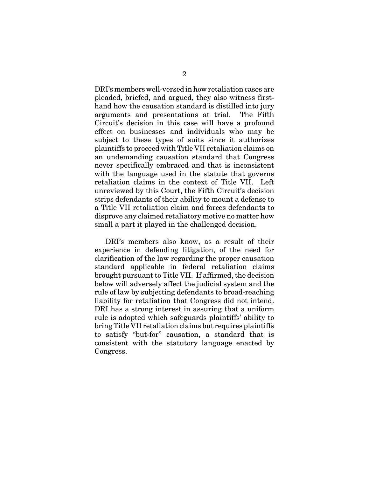DRI's members well-versed in how retaliation cases are pleaded, briefed, and argued, they also witness firsthand how the causation standard is distilled into jury arguments and presentations at trial. The Fifth Circuit's decision in this case will have a profound effect on businesses and individuals who may be subject to these types of suits since it authorizes plaintiffs to proceed with Title VII retaliation claims on an undemanding causation standard that Congress never specifically embraced and that is inconsistent with the language used in the statute that governs retaliation claims in the context of Title VII. Left unreviewed by this Court, the Fifth Circuit's decision strips defendants of their ability to mount a defense to a Title VII retaliation claim and forces defendants to disprove any claimed retaliatory motive no matter how small a part it played in the challenged decision.

DRI's members also know, as a result of their experience in defending litigation, of the need for clarification of the law regarding the proper causation standard applicable in federal retaliation claims brought pursuant to Title VII. If affirmed, the decision below will adversely affect the judicial system and the rule of law by subjecting defendants to broad-reaching liability for retaliation that Congress did not intend. DRI has a strong interest in assuring that a uniform rule is adopted which safeguards plaintiffs' ability to bring Title VII retaliation claims but requires plaintiffs to satisfy "but-for" causation, a standard that is consistent with the statutory language enacted by Congress.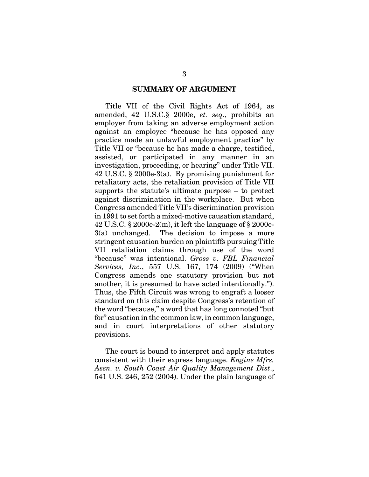#### **SUMMARY OF ARGUMENT**

Title VII of the Civil Rights Act of 1964, as amended, 42 U.S.C.§ 2000e, *et. seq*., prohibits an employer from taking an adverse employment action against an employee "because he has opposed any practice made an unlawful employment practice" by Title VII or "because he has made a charge, testified, assisted, or participated in any manner in an investigation, proceeding, or hearing" under Title VII. 42 U.S.C. § 2000e-3(a). By promising punishment for retaliatory acts, the retaliation provision of Title VII supports the statute's ultimate purpose – to protect against discrimination in the workplace. But when Congress amended Title VII's discrimination provision in 1991 to set forth a mixed-motive causation standard, 42 U.S.C.  $\S 2000e-2(m)$ , it left the language of  $\S 2000e-$ 3(a) unchanged. The decision to impose a more stringent causation burden on plaintiffs pursuing Title VII retaliation claims through use of the word "because" was intentional. *Gross v. FBL Financial Services, Inc*., 557 U.S. 167, 174 (2009) ("When Congress amends one statutory provision but not another, it is presumed to have acted intentionally."). Thus, the Fifth Circuit was wrong to engraft a looser standard on this claim despite Congress's retention of the word "because," a word that has long connoted "but for" causation in the common law, in common language, and in court interpretations of other statutory provisions.

The court is bound to interpret and apply statutes consistent with their express language. *Engine Mfrs. Assn. v. South Coast Air Quality Management Dist*., 541 U.S. 246, 252 (2004). Under the plain language of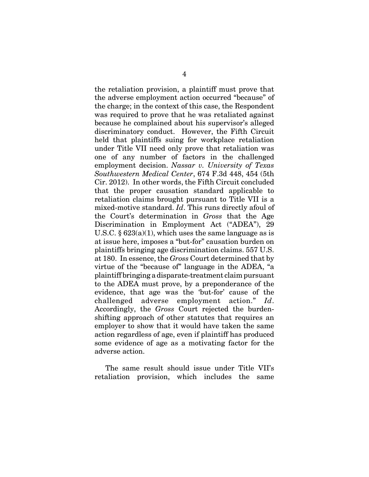the retaliation provision, a plaintiff must prove that the adverse employment action occurred "because" of the charge; in the context of this case, the Respondent was required to prove that he was retaliated against because he complained about his supervisor's alleged discriminatory conduct. However, the Fifth Circuit held that plaintiffs suing for workplace retaliation under Title VII need only prove that retaliation was one of any number of factors in the challenged employment decision. *Nassar v. University of Texas Southwestern Medical Center*, 674 F.3d 448, 454 (5th Cir. 2012). In other words, the Fifth Circuit concluded that the proper causation standard applicable to retaliation claims brought pursuant to Title VII is a mixed-motive standard. *Id*. This runs directly afoul of the Court's determination in *Gross* that the Age Discrimination in Employment Act ("ADEA"), 29 U.S.C.  $\S 623(a)(1)$ , which uses the same language as is at issue here, imposes a "but-for" causation burden on plaintiffs bringing age discrimination claims. 557 U.S. at 180. In essence, the *Gross* Court determined that by virtue of the "because of" language in the ADEA, "a plaintiff bringing a disparate-treatment claim pursuant to the ADEA must prove, by a preponderance of the evidence, that age was the 'but-for' cause of the challenged adverse employment action." *Id*. Accordingly, the *Gross* Court rejected the burdenshifting approach of other statutes that requires an employer to show that it would have taken the same action regardless of age, even if plaintiff has produced some evidence of age as a motivating factor for the adverse action.

The same result should issue under Title VII's retaliation provision, which includes the same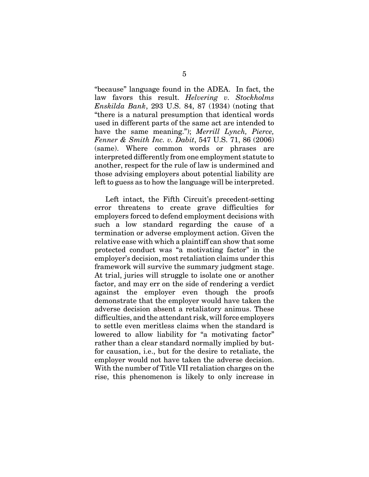"because" language found in the ADEA. In fact, the law favors this result. *Helvering v. Stockholms Enskilda Bank*, 293 U.S. 84, 87 (1934) (noting that "there is a natural presumption that identical words used in different parts of the same act are intended to have the same meaning."); *Merrill Lynch, Pierce, Fenner & Smith Inc. v. Dabit*, 547 U.S. 71, 86 (2006) (same). Where common words or phrases are interpreted differently from one employment statute to another, respect for the rule of law is undermined and those advising employers about potential liability are left to guess as to how the language will be interpreted.

Left intact, the Fifth Circuit's precedent-setting error threatens to create grave difficulties for employers forced to defend employment decisions with such a low standard regarding the cause of a termination or adverse employment action. Given the relative ease with which a plaintiff can show that some protected conduct was "a motivating factor" in the employer's decision, most retaliation claims under this framework will survive the summary judgment stage. At trial, juries will struggle to isolate one or another factor, and may err on the side of rendering a verdict against the employer even though the proofs demonstrate that the employer would have taken the adverse decision absent a retaliatory animus. These difficulties, and the attendant risk, will force employers to settle even meritless claims when the standard is lowered to allow liability for "a motivating factor" rather than a clear standard normally implied by butfor causation, i.e., but for the desire to retaliate, the employer would not have taken the adverse decision. With the number of Title VII retaliation charges on the rise, this phenomenon is likely to only increase in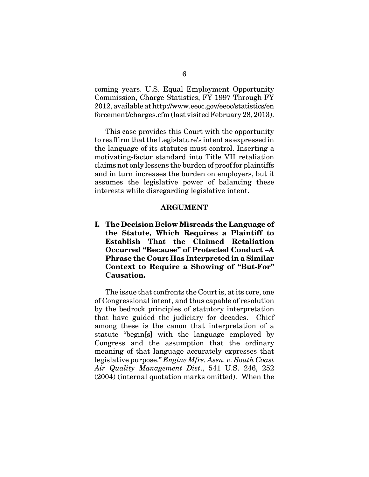coming years. U.S. Equal Employment Opportunity Commission, Charge Statistics, FY 1997 Through FY 2012, available at http://www.eeoc.gov/eeoc/statistics/en forcement/charges.cfm (last visited February 28, 2013).

This case provides this Court with the opportunity to reaffirm that the Legislature's intent as expressed in the language of its statutes must control. Inserting a motivating-factor standard into Title VII retaliation claims not only lessens the burden of proof for plaintiffs and in turn increases the burden on employers, but it assumes the legislative power of balancing these interests while disregarding legislative intent.

#### **ARGUMENT**

**I. The Decision Below Misreads the Language of the Statute, Which Requires a Plaintiff to Establish That the Claimed Retaliation Occurred "Because" of Protected Conduct –A Phrase the Court Has Interpreted in a Similar Context to Require a Showing of "But-For" Causation.**

The issue that confronts the Court is, at its core, one of Congressional intent, and thus capable of resolution by the bedrock principles of statutory interpretation that have guided the judiciary for decades. Chief among these is the canon that interpretation of a statute "begin[s] with the language employed by Congress and the assumption that the ordinary meaning of that language accurately expresses that legislative purpose." *Engine Mfrs. Assn. v. South Coast Air Quality Management Dist*., 541 U.S. 246, 252 (2004) (internal quotation marks omitted). When the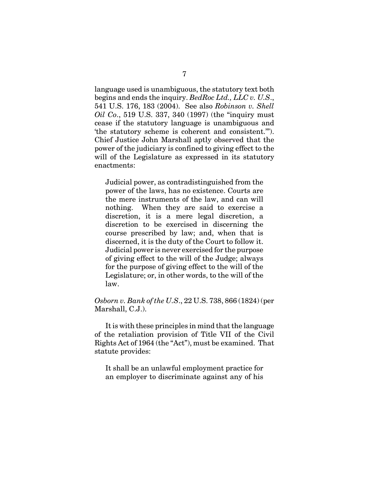language used is unambiguous, the statutory text both begins and ends the inquiry. *BedRoc Ltd., LLC v. U.S*., 541 U.S. 176, 183 (2004). See also *Robinson v. Shell Oil Co*., 519 U.S. 337, 340 (1997) (the "inquiry must cease if the statutory language is unambiguous and 'the statutory scheme is coherent and consistent.'"). Chief Justice John Marshall aptly observed that the power of the judiciary is confined to giving effect to the will of the Legislature as expressed in its statutory enactments:

Judicial power, as contradistinguished from the power of the laws, has no existence. Courts are the mere instruments of the law, and can will nothing. When they are said to exercise a discretion, it is a mere legal discretion, a discretion to be exercised in discerning the course prescribed by law; and, when that is discerned, it is the duty of the Court to follow it. Judicial power is never exercised for the purpose of giving effect to the will of the Judge; always for the purpose of giving effect to the will of the Legislature; or, in other words, to the will of the law.

*Osborn v. Bank of the U.S*., 22 U.S. 738, 866 (1824) (per Marshall, C.J.).

It is with these principles in mind that the language of the retaliation provision of Title VII of the Civil Rights Act of 1964 (the "Act"), must be examined. That statute provides:

It shall be an unlawful employment practice for an employer to discriminate against any of his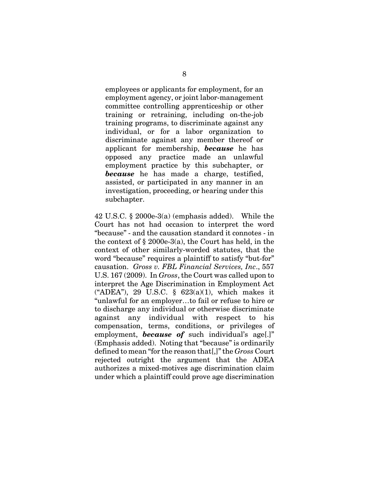employees or applicants for employment, for an employment agency, or joint labor-management committee controlling apprenticeship or other training or retraining, including on-the-job training programs, to discriminate against any individual, or for a labor organization to discriminate against any member thereof or applicant for membership, *because* he has opposed any practice made an unlawful employment practice by this subchapter, or *because* he has made a charge, testified, assisted, or participated in any manner in an investigation, proceeding, or hearing under this subchapter.

42 U.S.C. § 2000e-3(a) (emphasis added). While the Court has not had occasion to interpret the word "because" - and the causation standard it connotes - in the context of § 2000e-3(a), the Court has held, in the context of other similarly-worded statutes, that the word "because" requires a plaintiff to satisfy "but-for" causation. *Gross v. FBL Financial Services, Inc*., 557 U.S. 167 (2009). In *Gross*, the Court was called upon to interpret the Age Discrimination in Employment Act ("ADEA"), 29 U.S.C. § 623(a)(1), which makes it "unlawful for an employer…to fail or refuse to hire or to discharge any individual or otherwise discriminate against any individual with respect to his compensation, terms, conditions, or privileges of employment, *because of* such individual's age[.]" (Emphasis added). Noting that "because" is ordinarily defined to mean "for the reason that[,]" the *Gross* Court rejected outright the argument that the ADEA authorizes a mixed-motives age discrimination claim under which a plaintiff could prove age discrimination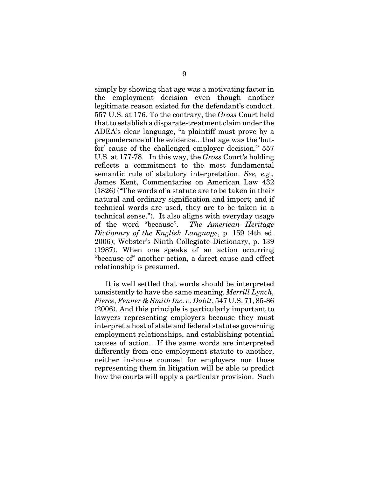simply by showing that age was a motivating factor in the employment decision even though another legitimate reason existed for the defendant's conduct. 557 U.S. at 176. To the contrary, the *Gross* Court held that to establish a disparate-treatment claim under the ADEA's clear language, "a plaintiff must prove by a preponderance of the evidence…that age was the 'butfor' cause of the challenged employer decision." 557 U.S. at 177-78. In this way, the *Gross* Court's holding reflects a commitment to the most fundamental semantic rule of statutory interpretation. *See, e.g*.*,* James Kent, Commentaries on American Law 432 (1826) ("The words of a statute are to be taken in their natural and ordinary signification and import; and if technical words are used, they are to be taken in a technical sense."). It also aligns with everyday usage of the word "because". *The American Heritage Dictionary of the English Language*, p. 159 (4th ed. 2006); Webster's Ninth Collegiate Dictionary, p. 139 (1987). When one speaks of an action occurring "because of" another action, a direct cause and effect relationship is presumed.

It is well settled that words should be interpreted consistently to have the same meaning. *Merrill Lynch, Pierce, Fenner & Smith Inc. v. Dabit*, 547 U.S. 71, 85-86 (2006). And this principle is particularly important to lawyers representing employers because they must interpret a host of state and federal statutes governing employment relationships, and establishing potential causes of action. If the same words are interpreted differently from one employment statute to another, neither in-house counsel for employers nor those representing them in litigation will be able to predict how the courts will apply a particular provision. Such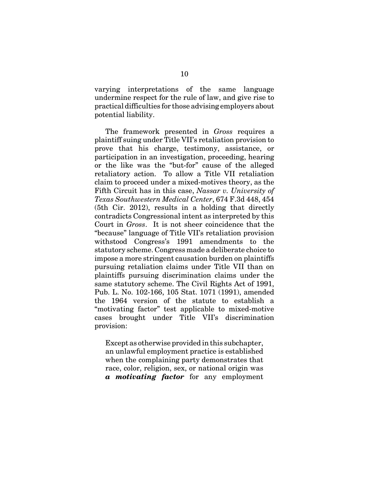varying interpretations of the same language undermine respect for the rule of law, and give rise to practical difficulties for those advising employers about potential liability.

The framework presented in *Gross* requires a plaintiff suing under Title VII's retaliation provision to prove that his charge, testimony, assistance, or participation in an investigation, proceeding, hearing or the like was the "but-for" cause of the alleged retaliatory action. To allow a Title VII retaliation claim to proceed under a mixed-motives theory, as the Fifth Circuit has in this case, *Nassar v. University of Texas Southwestern Medical Center*, 674 F.3d 448, 454 (5th Cir. 2012), results in a holding that directly contradicts Congressional intent as interpreted by this Court in *Gross*. It is not sheer coincidence that the "because" language of Title VII's retaliation provision withstood Congress's 1991 amendments to the statutory scheme. Congress made a deliberate choice to impose a more stringent causation burden on plaintiffs pursuing retaliation claims under Title VII than on plaintiffs pursuing discrimination claims under the same statutory scheme. The Civil Rights Act of 1991, Pub. L. No. 102-166, 105 Stat. 1071 (1991), amended the 1964 version of the statute to establish a "motivating factor" test applicable to mixed-motive cases brought under Title VII's discrimination provision:

Except as otherwise provided in this subchapter, an unlawful employment practice is established when the complaining party demonstrates that race, color, religion, sex, or national origin was *a motivating factor* for any employment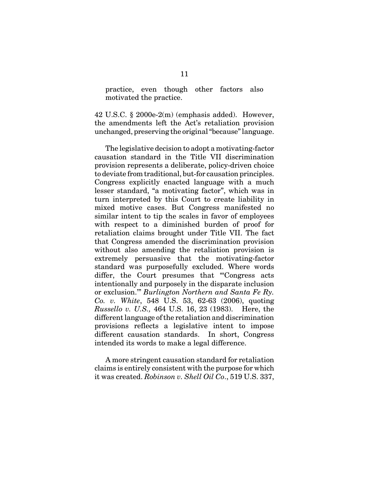practice, even though other factors also motivated the practice.

42 U.S.C. § 2000e-2(m) (emphasis added). However, the amendments left the Act's retaliation provision unchanged, preserving the original "because" language.

The legislative decision to adopt a motivating-factor causation standard in the Title VII discrimination provision represents a deliberate, policy-driven choice to deviate from traditional, but-for causation principles. Congress explicitly enacted language with a much lesser standard, "a motivating factor", which was in turn interpreted by this Court to create liability in mixed motive cases. But Congress manifested no similar intent to tip the scales in favor of employees with respect to a diminished burden of proof for retaliation claims brought under Title VII. The fact that Congress amended the discrimination provision without also amending the retaliation provision is extremely persuasive that the motivating-factor standard was purposefully excluded. Where words differ, the Court presumes that "Congress acts" intentionally and purposely in the disparate inclusion or exclusion.'" *Burlington Northern and Santa Fe Ry. Co. v. White*, 548 U.S. 53, 62-63 (2006), quoting *Russello v. U.S.,* 464 U.S. 16, 23 (1983). Here, the different language of the retaliation and discrimination provisions reflects a legislative intent to impose different causation standards. In short, Congress intended its words to make a legal difference.

A more stringent causation standard for retaliation claims is entirely consistent with the purpose for which it was created. *Robinson v. Shell Oil Co*., 519 U.S. 337,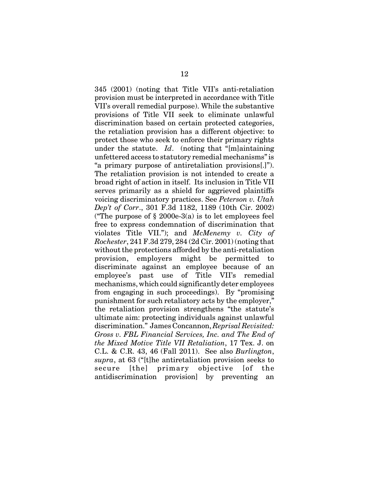345 (2001) (noting that Title VII's anti-retaliation provision must be interpreted in accordance with Title VII's overall remedial purpose). While the substantive provisions of Title VII seek to eliminate unlawful discrimination based on certain protected categories, the retaliation provision has a different objective: to protect those who seek to enforce their primary rights under the statute. *Id*. (noting that "[m]aintaining unfettered access to statutory remedial mechanisms" is "a primary purpose of antiretaliation provisions[.]"). The retaliation provision is not intended to create a broad right of action in itself. Its inclusion in Title VII serves primarily as a shield for aggrieved plaintiffs voicing discriminatory practices. See *Peterson v. Utah Dep't of Corr*., 301 F.3d 1182, 1189 (10th Cir. 2002) ("The purpose of  $\S 2000e-3(a)$  is to let employees feel free to express condemnation of discrimination that violates Title VII."); and *McMenemy v. City of Rochester*, 241 F.3d 279, 284 (2d Cir. 2001) (noting that without the protections afforded by the anti-retaliation provision, employers might be permitted to discriminate against an employee because of an employee's past use of Title VII's remedial mechanisms, which could significantly deter employees from engaging in such proceedings). By "promising punishment for such retaliatory acts by the employer," the retaliation provision strengthens "the statute's ultimate aim: protecting individuals against unlawful discrimination." James Concannon, *Reprisal Revisited: Gross v. FBL Financial Services, Inc. and The End of the Mixed Motive Title VII Retaliation*, 17 Tex. J. on C.L. & C.R. 43, 46 (Fall 2011). See also *Burlington*, *supra*, at 63 ("[t]he antiretaliation provision seeks to secure [the] primary objective [of the antidiscrimination provision] by preventing an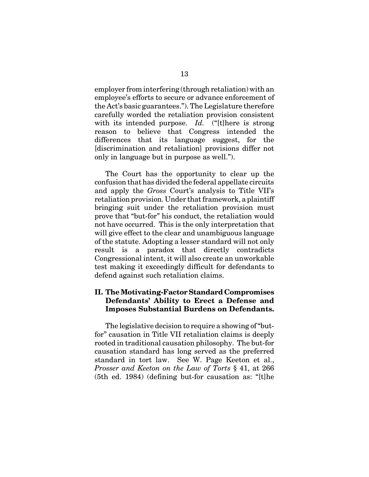employer from interfering (through retaliation) with an employee's efforts to secure or advance enforcement of the Act's basic guarantees."). The Legislature therefore carefully worded the retaliation provision consistent with its intended purpose. *Id.* ("[t]here is strong reason to believe that Congress intended the differences that its language suggest, for the [discrimination and retaliation] provisions differ not only in language but in purpose as well.").

The Court has the opportunity to clear up the confusion that has divided the federal appellate circuits and apply the *Gross* Court's analysis to Title VII's retaliation provision. Under that framework, a plaintiff bringing suit under the retaliation provision must prove that "but-for" his conduct, the retaliation would not have occurred. This is the only interpretation that will give effect to the clear and unambiguous language of the statute. Adopting a lesser standard will not only result is a paradox that directly contradicts Congressional intent, it will also create an unworkable test making it exceedingly difficult for defendants to defend against such retaliation claims.

### **II. The Motivating-Factor Standard Compromises Defendants' Ability to Erect a Defense and Imposes Substantial Burdens on Defendants.**

The legislative decision to require a showing of "butfor" causation in Title VII retaliation claims is deeply rooted in traditional causation philosophy. The but-for causation standard has long served as the preferred standard in tort law. See W. Page Keeton et al., *Prosser and Keeton on the Law of Torts* § 41, at 266 (5th ed. 1984) (defining but-for causation as: "[t]he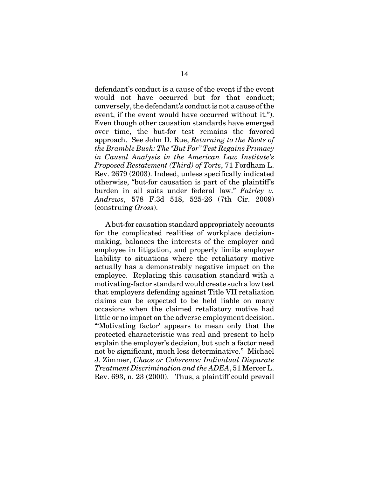defendant's conduct is a cause of the event if the event would not have occurred but for that conduct; conversely, the defendant's conduct is not a cause of the event, if the event would have occurred without it."). Even though other causation standards have emerged over time, the but-for test remains the favored approach. See John D. Rue, *Returning to the Roots of the Bramble Bush: The "But For" Test Regains Primacy in Causal Analysis in the American Law Institute's Proposed Restatement (Third) of Torts*, 71 Fordham L. Rev. 2679 (2003). Indeed, unless specifically indicated otherwise, "but-for causation is part of the plaintiff's burden in all suits under federal law." *Fairley v. Andrews*, 578 F.3d 518, 525-26 (7th Cir. 2009) (construing *Gross*).

A but-for causation standard appropriately accounts for the complicated realities of workplace decisionmaking, balances the interests of the employer and employee in litigation, and properly limits employer liability to situations where the retaliatory motive actually has a demonstrably negative impact on the employee. Replacing this causation standard with a motivating-factor standard would create such a low test that employers defending against Title VII retaliation claims can be expected to be held liable on many occasions when the claimed retaliatory motive had little or no impact on the adverse employment decision. "'Motivating factor' appears to mean only that the protected characteristic was real and present to help explain the employer's decision, but such a factor need not be significant, much less determinative." Michael J. Zimmer, *Chaos or Coherence: Individual Disparate Treatment Discrimination and the ADEA*, 51 Mercer L. Rev. 693, n. 23 (2000). Thus, a plaintiff could prevail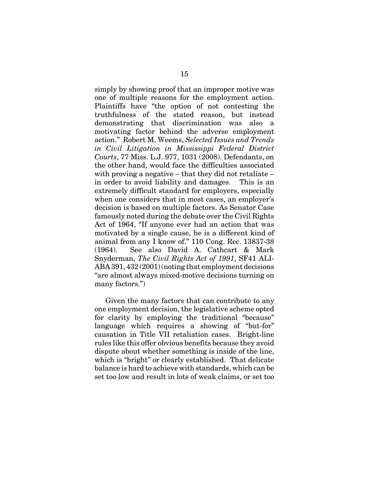simply by showing proof that an improper motive was one of multiple reasons for the employment action. Plaintiffs have "the option of not contesting the truthfulness of the stated reason, but instead demonstrating that discrimination was also a motivating factor behind the adverse employment action." Robert M. Weems, *Selected Issues and Trends in Civil Litigation in Mississippi Federal District Courts*, 77 Miss. L.J. 977, 1031 (2008). Defendants, on the other hand, would face the difficulties associated with proving a negative – that they did not retaliate – in order to avoid liability and damages. This is an extremely difficult standard for employers, especially when one considers that in most cases, an employer's decision is based on multiple factors. As Senator Case famously noted during the debate over the Civil Rights Act of 1964, "If anyone ever had an action that was motivated by a single cause, he is a different kind of animal from any I know of." 110 Cong. Rec. 13837-38 (1964). See also David A. Cathcart & Mark Snyderman, *The Civil Rights Act of 1991*, SF41 ALI-ABA 391, 432 (2001) (noting that employment decisions "are almost always mixed-motive decisions turning on many factors.")

Given the many factors that can contribute to any one employment decision, the legislative scheme opted for clarity by employing the traditional "because" language which requires a showing of "but-for" causation in Title VII retaliation cases. Bright-line rules like this offer obvious benefits because they avoid dispute about whether something is inside of the line, which is "bright" or clearly established. That delicate balance is hard to achieve with standards, which can be set too low and result in lots of weak claims, or set too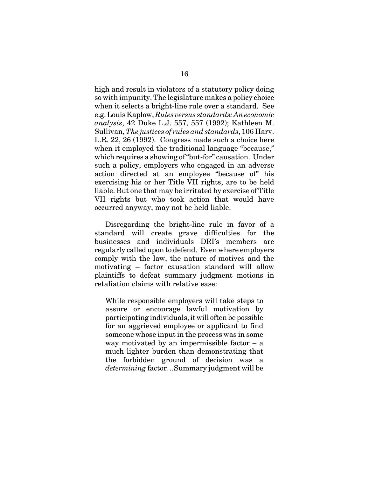high and result in violators of a statutory policy doing so with impunity. The legislature makes a policy choice when it selects a bright-line rule over a standard. See e.g. Louis Kaplow, *Rules versus standards: An economic analysis*, 42 Duke L.J. 557, 557 (1992); Kathleen M. Sullivan, *The justices of rules and standards*, 106 Harv. L.R. 22, 26 (1992). Congress made such a choice here when it employed the traditional language "because," which requires a showing of "but-for" causation. Under such a policy, employers who engaged in an adverse action directed at an employee "because of" his exercising his or her Title VII rights, are to be held liable. But one that may be irritated by exercise of Title VII rights but who took action that would have occurred anyway, may not be held liable.

Disregarding the bright-line rule in favor of a standard will create grave difficulties for the businesses and individuals DRI's members are regularly called upon to defend. Even where employers comply with the law, the nature of motives and the motivating – factor causation standard will allow plaintiffs to defeat summary judgment motions in retaliation claims with relative ease:

While responsible employers will take steps to assure or encourage lawful motivation by participating individuals, it will often be possible for an aggrieved employee or applicant to find someone whose input in the process was in some way motivated by an impermissible factor  $-$  a much lighter burden than demonstrating that the forbidden ground of decision was a *determining* factor…Summary judgment will be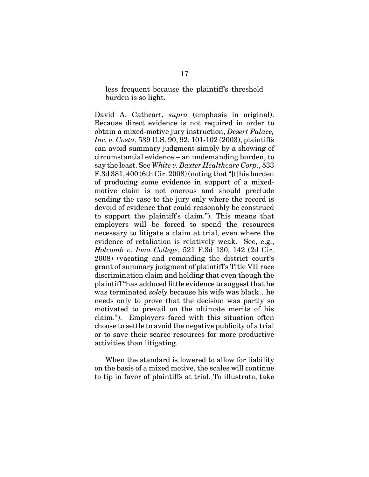less frequent because the plaintiff's threshold burden is so light.

David A. Cathcart, *supra* (emphasis in original). Because direct evidence is not required in order to obtain a mixed-motive jury instruction, *Desert Palace, Inc. v. Costa*, 539 U.S. 90, 92, 101-102 (2003), plaintiffs can avoid summary judgment simply by a showing of circumstantial evidence – an undemanding burden, to say the least. See *White v. Baxter Healthcare Corp*., 533 F.3d 381, 400 (6th Cir. 2008) (noting that "[t]his burden of producing some evidence in support of a mixedmotive claim is not onerous and should preclude sending the case to the jury only where the record is devoid of evidence that could reasonably be construed to support the plaintiff's claim."). This means that employers will be forced to spend the resources necessary to litigate a claim at trial, even where the evidence of retaliation is relatively weak. See, e.g., *Holcomb v. Iona College*, 521 F.3d 130, 142 (2d Cir. 2008) (vacating and remanding the district court's grant of summary judgment of plaintiff's Title VII race discrimination claim and holding that even though the plaintiff "has adduced little evidence to suggest that he was terminated *solely* because his wife was black…he needs only to prove that the decision was partly so motivated to prevail on the ultimate merits of his claim."). Employers faced with this situation often choose to settle to avoid the negative publicity of a trial or to save their scarce resources for more productive activities than litigating.

When the standard is lowered to allow for liability on the basis of a mixed motive, the scales will continue to tip in favor of plaintiffs at trial. To illustrate, take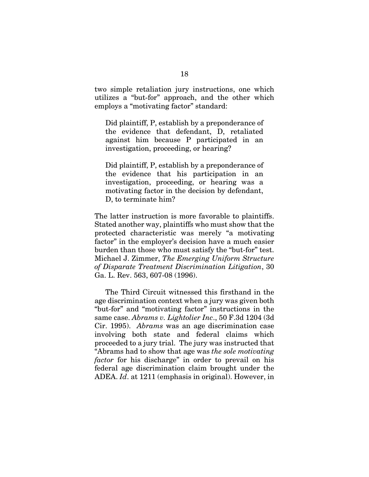two simple retaliation jury instructions, one which utilizes a "but-for" approach, and the other which employs a "motivating factor" standard:

Did plaintiff, P, establish by a preponderance of the evidence that defendant, D, retaliated against him because P participated in an investigation, proceeding, or hearing?

Did plaintiff, P, establish by a preponderance of the evidence that his participation in an investigation, proceeding, or hearing was a motivating factor in the decision by defendant, D, to terminate him?

The latter instruction is more favorable to plaintiffs. Stated another way, plaintiffs who must show that the protected characteristic was merely "a motivating factor" in the employer's decision have a much easier burden than those who must satisfy the "but-for" test. Michael J. Zimmer, *The Emerging Uniform Structure of Disparate Treatment Discrimination Litigation*, 30 Ga. L. Rev. 563, 607-08 (1996).

The Third Circuit witnessed this firsthand in the age discrimination context when a jury was given both "but-for" and "motivating factor" instructions in the same case. *Abrams v. Lightolier Inc*., 50 F.3d 1204 (3d Cir. 1995). *Abrams* was an age discrimination case involving both state and federal claims which proceeded to a jury trial. The jury was instructed that "Abrams had to show that age was *the sole motivating factor* for his discharge" in order to prevail on his federal age discrimination claim brought under the ADEA. *Id*. at 1211 (emphasis in original). However, in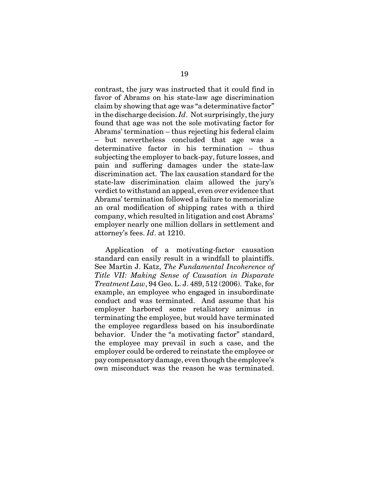contrast, the jury was instructed that it could find in favor of Abrams on his state-law age discrimination claim by showing that age was "a determinative factor" in the discharge decision. *Id*. Not surprisingly, the jury found that age was not the sole motivating factor for Abrams' termination – thus rejecting his federal claim – but nevertheless concluded that age was a determinative factor in his termination – thus subjecting the employer to back-pay, future losses, and pain and suffering damages under the state-law discrimination act. The lax causation standard for the state-law discrimination claim allowed the jury's verdict to withstand an appeal, even over evidence that Abrams' termination followed a failure to memorialize an oral modification of shipping rates with a third company, which resulted in litigation and cost Abrams' employer nearly one million dollars in settlement and attorney's fees. *Id*. at 1210.

Application of a motivating-factor causation standard can easily result in a windfall to plaintiffs. See Martin J. Katz, *The Fundamental Incoherence of Title VII: Making Sense of Causation in Disparate Treatment Law*, 94 Geo. L. J. 489, 512 (2006). Take, for example, an employee who engaged in insubordinate conduct and was terminated. And assume that his employer harbored some retaliatory animus in terminating the employee, but would have terminated the employee regardless based on his insubordinate behavior. Under the "a motivating factor" standard, the employee may prevail in such a case, and the employer could be ordered to reinstate the employee or pay compensatory damage, even though the employee's own misconduct was the reason he was terminated.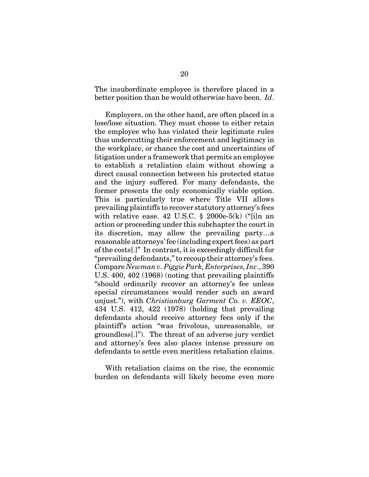The insubordinate employee is therefore placed in a better position than he would otherwise have been. *Id*.

Employers, on the other hand, are often placed in a lose/lose situation. They must choose to either retain the employee who has violated their legitimate rules thus undercutting their enforcement and legitimacy in the workplace, or chance the cost and uncertainties of litigation under a framework that permits an employee to establish a retaliation claim without showing a direct causal connection between his protected status and the injury suffered. For many defendants, the former presents the only economically viable option. This is particularly true where Title VII allows prevailing plaintiffs to recover statutory attorney's fees with relative ease.  $42 \text{ U.S.C. }$  \$ 2000e-5(k) ("[i]n an action or proceeding under this subchapter the court in its discretion, may allow the prevailing party…a reasonable attorneys' fee (including expert fees) as part of the costs[.]" In contrast, it is exceedingly difficult for "prevailing defendants," to recoup their attorney's fees. Compare *Newman v. Piggie Park, Enterprises, Inc*., 390 U.S. 400, 402 (1968) (noting that prevailing plaintiffs "should ordinarily recover an attorney's fee unless special circumstances would render such an award unjust."), with *Christianburg Garment Co. v. EEOC*, 434 U.S. 412, 422 (1978) (holding that prevailing defendants should receive attorney fees only if the plaintiff's action "was frivolous, unreasonable, or groundless[.]"). The threat of an adverse jury verdict and attorney's fees also places intense pressure on defendants to settle even meritless retaliation claims.

With retaliation claims on the rise, the economic burden on defendants will likely become even more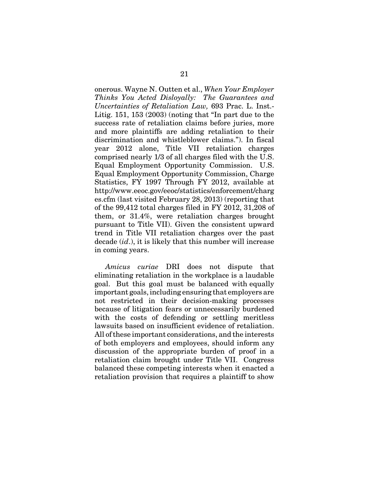onerous. Wayne N. Outten et al., *When Your Employer Thinks You Acted Disloyally: The Guarantees and Uncertainties of Retaliation Law,* 693 Prac. L. Inst.- Litig. 151, 153 (2003) (noting that "In part due to the success rate of retaliation claims before juries, more and more plaintiffs are adding retaliation to their discrimination and whistleblower claims."). In fiscal year 2012 alone, Title VII retaliation charges comprised nearly 1/3 of all charges filed with the U.S. Equal Employment Opportunity Commission. U.S. Equal Employment Opportunity Commission, Charge Statistics, FY 1997 Through FY 2012, available at http://www.eeoc.gov/eeoc/statistics/enforcement/charg es.cfm (last visited February 28, 2013) (reporting that of the 99,412 total charges filed in FY 2012, 31,208 of them, or 31.4%, were retaliation charges brought pursuant to Title VII). Given the consistent upward trend in Title VII retaliation charges over the past decade (*id*.), it is likely that this number will increase in coming years.

*Amicus curiae* DRI does not dispute that eliminating retaliation in the workplace is a laudable goal. But this goal must be balanced with equally important goals, including ensuring that employers are not restricted in their decision-making processes because of litigation fears or unnecessarily burdened with the costs of defending or settling meritless lawsuits based on insufficient evidence of retaliation. All of these important considerations, and the interests of both employers and employees, should inform any discussion of the appropriate burden of proof in a retaliation claim brought under Title VII. Congress balanced these competing interests when it enacted a retaliation provision that requires a plaintiff to show